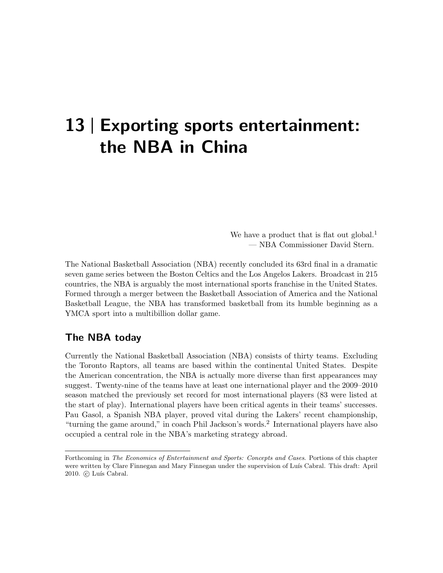# 13 | Exporting sports entertainment: the NBA in China

We have a product that is flat out global.<sup>1</sup> — NBA Commissioner David Stern.

The National Basketball Association (NBA) recently concluded its 63rd final in a dramatic seven game series between the Boston Celtics and the Los Angelos Lakers. Broadcast in 215 countries, the NBA is arguably the most international sports franchise in the United States. Formed through a merger between the Basketball Association of America and the National Basketball League, the NBA has transformed basketball from its humble beginning as a YMCA sport into a multibillion dollar game.

### The NBA today

Currently the National Basketball Association (NBA) consists of thirty teams. Excluding the Toronto Raptors, all teams are based within the continental United States. Despite the American concentration, the NBA is actually more diverse than first appearances may suggest. Twenty-nine of the teams have at least one international player and the 2009–2010 season matched the previously set record for most international players (83 were listed at the start of play). International players have been critical agents in their teams' successes. Pau Gasol, a Spanish NBA player, proved vital during the Lakers' recent championship, "turning the game around," in coach Phil Jackson's words.<sup>2</sup> International players have also occupied a central role in the NBA's marketing strategy abroad.

Forthcoming in The Economics of Entertainment and Sports: Concepts and Cases. Portions of this chapter were written by Clare Finnegan and Mary Finnegan under the supervision of Luís Cabral. This draft: April 2010. C Luís Cabral.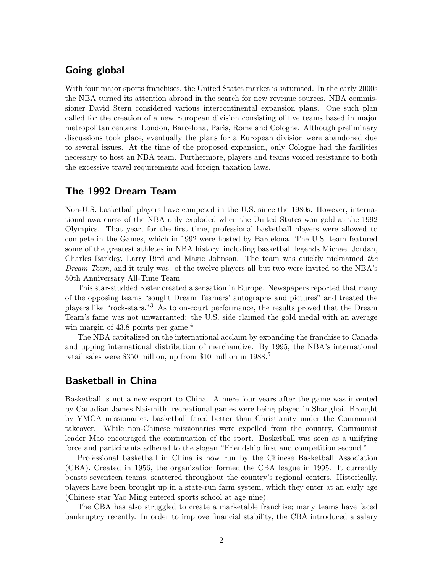#### Going global

With four major sports franchises, the United States market is saturated. In the early 2000s the NBA turned its attention abroad in the search for new revenue sources. NBA commissioner David Stern considered various intercontinental expansion plans. One such plan called for the creation of a new European division consisting of five teams based in major metropolitan centers: London, Barcelona, Paris, Rome and Cologne. Although preliminary discussions took place, eventually the plans for a European division were abandoned due to several issues. At the time of the proposed expansion, only Cologne had the facilities necessary to host an NBA team. Furthermore, players and teams voiced resistance to both the excessive travel requirements and foreign taxation laws.

#### The 1992 Dream Team

Non-U.S. basketball players have competed in the U.S. since the 1980s. However, international awareness of the NBA only exploded when the United States won gold at the 1992 Olympics. That year, for the first time, professional basketball players were allowed to compete in the Games, which in 1992 were hosted by Barcelona. The U.S. team featured some of the greatest athletes in NBA history, including basketball legends Michael Jordan, Charles Barkley, Larry Bird and Magic Johnson. The team was quickly nicknamed the Dream Team, and it truly was: of the twelve players all but two were invited to the NBA's 50th Anniversary All-Time Team.

This star-studded roster created a sensation in Europe. Newspapers reported that many of the opposing teams "sought Dream Teamers' autographs and pictures" and treated the players like "rock-stars."<sup>3</sup> As to on-court performance, the results proved that the Dream Team's fame was not unwarranted: the U.S. side claimed the gold medal with an average win margin of  $43.8$  points per game.<sup>4</sup>

The NBA capitalized on the international acclaim by expanding the franchise to Canada and upping international distribution of merchandize. By 1995, the NBA's international retail sales were \$350 million, up from \$10 million in 1988.<sup>5</sup>

#### Basketball in China

Basketball is not a new export to China. A mere four years after the game was invented by Canadian James Naismith, recreational games were being played in Shanghai. Brought by YMCA missionaries, basketball fared better than Christianity under the Communist takeover. While non-Chinese missionaries were expelled from the country, Communist leader Mao encouraged the continuation of the sport. Basketball was seen as a unifying force and participants adhered to the slogan "Friendship first and competition second."

Professional basketball in China is now run by the Chinese Basketball Association (CBA). Created in 1956, the organization formed the CBA league in 1995. It currently boasts seventeen teams, scattered throughout the country's regional centers. Historically, players have been brought up in a state-run farm system, which they enter at an early age (Chinese star Yao Ming entered sports school at age nine).

The CBA has also struggled to create a marketable franchise; many teams have faced bankruptcy recently. In order to improve financial stability, the CBA introduced a salary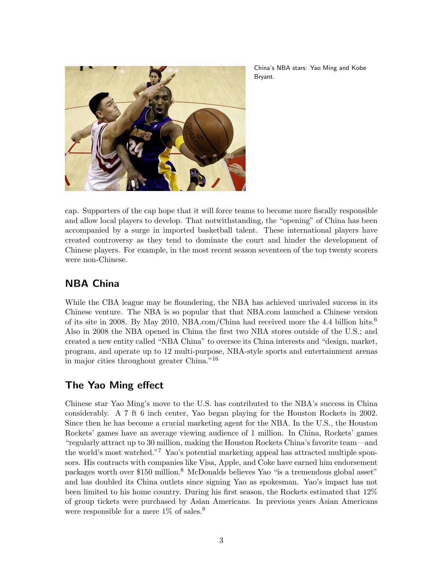

China's NBA stars: Yao Ming and Kobe Bryant.

cap. Supporters of the cap hope that it will force teams to become more fiscally responsible and allow local players to develop. That notwithstanding, the "opening" of China has been accompanied by a surge in imported basketball talent. These international players have created controversy as they tend to dominate the court and hinder the development of Chinese players. For example, in the most recent season seventeen of the top twenty scorers were non-Chinese.

# NBA China

While the CBA league may be floundering, the NBA has achieved unrivaled success in its Chinese venture. The NBA is so popular that that NBA.com launched a Chinese version of its site in 2008. By May 2010, NBA.com/China had received more the 4.4 billion hits.<sup>6</sup> Also in 2008 the NBA opened in China the first two NBA stores outside of the U.S.; and created a new entity called "NBA China" to oversee its China interests and "design, market, program, and operate up to 12 multi-purpose, NBA-style sports and entertainment arenas in major cities throughout greater China."<sup>16</sup>

# The Yao Ming effect

Chinese star Yao Ming's move to the U.S. has contributed to the NBA's success in China considerably. A 7 ft 6 inch center, Yao began playing for the Houston Rockets in 2002. Since then he has become a crucial marketing agent for the NBA. In the U.S., the Houston Rockets' games have an average viewing audience of 1 million. In China, Rockets' games "regularly attract up to 30 million, making the Houston Rockets China's favorite team—and the world's most watched."<sup>7</sup> Yao's potential marketing appeal has attracted multiple sponsors. His contracts with companies like Visa, Apple, and Coke have earned him endorsement packages worth over \$150 million.<sup>8</sup> McDonalds believes Yao "is a tremendous global asset" and has doubled its China outlets since signing Yao as spokesman. Yao's impact has not been limited to his home country. During his first season, the Rockets estimated that 12% of group tickets were purchased by Asian Americans. In previous years Asian Americans were responsible for a mere  $1\%$  of sales.<sup>9</sup>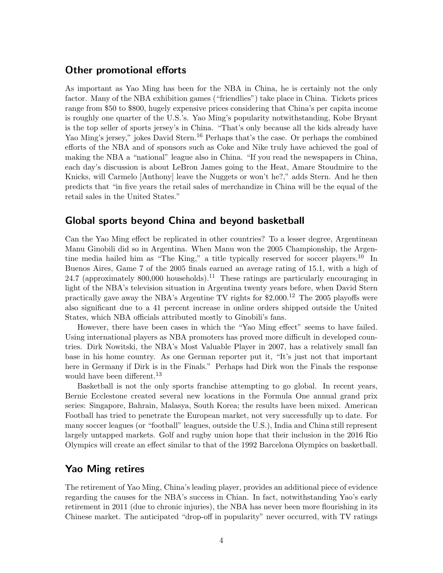#### Other promotional efforts

As important as Yao Ming has been for the NBA in China, he is certainly not the only factor. Many of the NBA exhibition games ("friendlies") take place in China. Tickets prices range from \$50 to \$800, hugely expensive prices considering that China's per capita income is roughly one quarter of the U.S.'s. Yao Ming's popularity notwithstanding, Kobe Bryant is the top seller of sports jersey's in China. "That's only because all the kids already have Yao Ming's jersey," jokes David Stern.<sup>16</sup> Perhaps that's the case. Or perhaps the combined efforts of the NBA and of sponsors such as Coke and Nike truly have achieved the goal of making the NBA a "national" league also in China. "If you read the newspapers in China, each day's discussion is about LeBron James going to the Heat, Amare Stoudmire to the Knicks, will Carmelo [Anthony] leave the Nuggets or won't he?," adds Stern. And he then predicts that "in five years the retail sales of merchandize in China will be the equal of the retail sales in the United States."

#### Global sports beyond China and beyond basketball

Can the Yao Ming effect be replicated in other countries? To a lesser degree, Argentinean Manu Ginobili did so in Argentina. When Manu won the 2005 Championship, the Argentine media hailed him as "The King," a title typically reserved for soccer players.<sup>10</sup> In Buenos Aires, Game 7 of the 2005 finals earned an average rating of 15.1, with a high of 24.7 (approximately 800,000 households).<sup>11</sup> These ratings are particularly encouraging in light of the NBA's television situation in Argentina twenty years before, when David Stern practically gave away the NBA's Argentine TV rights for  $$2,000$ .<sup>12</sup> The 2005 playoffs were also significant due to a 41 percent increase in online orders shipped outside the United States, which NBA officials attributed mostly to Ginobili's fans.

However, there have been cases in which the "Yao Ming effect" seems to have failed. Using international players as NBA promoters has proved more difficult in developed countries. Dirk Nowitski, the NBA's Most Valuable Player in 2007, has a relatively small fan base in his home country. As one German reporter put it, "It's just not that important here in Germany if Dirk is in the Finals." Perhaps had Dirk won the Finals the response would have been different.<sup>13</sup>

Basketball is not the only sports franchise attempting to go global. In recent years, Bernie Ecclestone created several new locations in the Formula One annual grand prix series: Singapore, Bahrain, Malasya, South Korea; the results have been mixed. American Football has tried to penetrate the European market, not very successfully up to date. For many soccer leagues (or "football" leagues, outside the U.S.), India and China still represent largely untapped markets. Golf and rugby union hope that their inclusion in the 2016 Rio Olympics will create an effect similar to that of the 1992 Barcelona Olympics on basketball.

#### Yao Ming retires

The retirement of Yao Ming, China's leading player, provides an additional piece of evidence regarding the causes for the NBA's success in Chian. In fact, notwithstanding Yao's early retirement in 2011 (due to chronic injuries), the NBA has never been more flourishing in its Chinese market. The anticipated "drop-off in popularity" never occurred, with TV ratings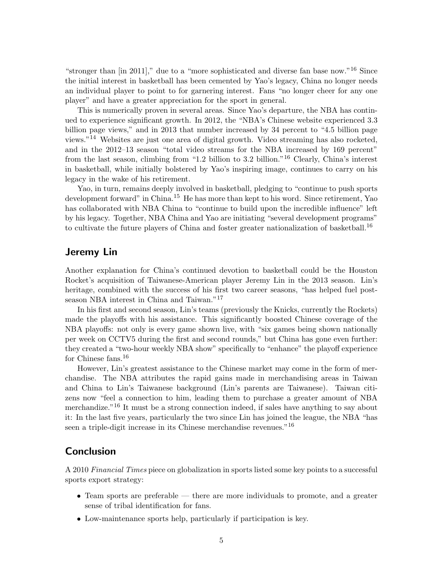"stronger than [in 2011]," due to a "more sophisticated and diverse fan base now."<sup>16</sup> Since the initial interest in basketball has been cemented by Yao's legacy, China no longer needs an individual player to point to for garnering interest. Fans "no longer cheer for any one player" and have a greater appreciation for the sport in general.

This is numerically proven in several areas. Since Yao's departure, the NBA has continued to experience significant growth. In 2012, the "NBA's Chinese website experienced 3.3 billion page views," and in 2013 that number increased by 34 percent to "4.5 billion page views."<sup>14</sup> Websites are just one area of digital growth. Video streaming has also rocketed, and in the 2012–13 season "total video streams for the NBA increased by 169 percent" from the last season, climbing from "1.2 billion to 3.2 billion."<sup>16</sup> Clearly, China's interest in basketball, while initially bolstered by Yao's inspiring image, continues to carry on his legacy in the wake of his retirement.

Yao, in turn, remains deeply involved in basketball, pledging to "continue to push sports development forward" in China.<sup>15</sup> He has more than kept to his word. Since retirement, Yao has collaborated with NBA China to "continue to build upon the incredible influence" left by his legacy. Together, NBA China and Yao are initiating "several development programs" to cultivate the future players of China and foster greater nationalization of basketball.<sup>16</sup>

#### Jeremy Lin

Another explanation for China's continued devotion to basketball could be the Houston Rocket's acquisition of Taiwanese-American player Jeremy Lin in the 2013 season. Lin's heritage, combined with the success of his first two career seasons, "has helped fuel postseason NBA interest in China and Taiwan."<sup>17</sup>

In his first and second season, Lin's teams (previously the Knicks, currently the Rockets) made the playoffs with his assistance. This significantly boosted Chinese coverage of the NBA playoffs: not only is every game shown live, with "six games being shown nationally per week on CCTV5 during the first and second rounds," but China has gone even further: they created a "two-hour weekly NBA show" specifically to "enhance" the playoff experience for Chinese fans.<sup>16</sup>

However, Lin's greatest assistance to the Chinese market may come in the form of merchandise. The NBA attributes the rapid gains made in merchandising areas in Taiwan and China to Lin's Taiwanese background (Lin's parents are Taiwanese). Taiwan citizens now "feel a connection to him, leading them to purchase a greater amount of NBA merchandize."<sup>16</sup> It must be a strong connection indeed, if sales have anything to say about it: In the last five years, particularly the two since Lin has joined the league, the NBA "has seen a triple-digit increase in its Chinese merchandise revenues."<sup>16</sup>

#### Conclusion

A 2010 Financial Times piece on globalization in sports listed some key points to a successful sports export strategy:

- Team sports are preferable there are more individuals to promote, and a greater sense of tribal identification for fans.
- Low-maintenance sports help, particularly if participation is key.